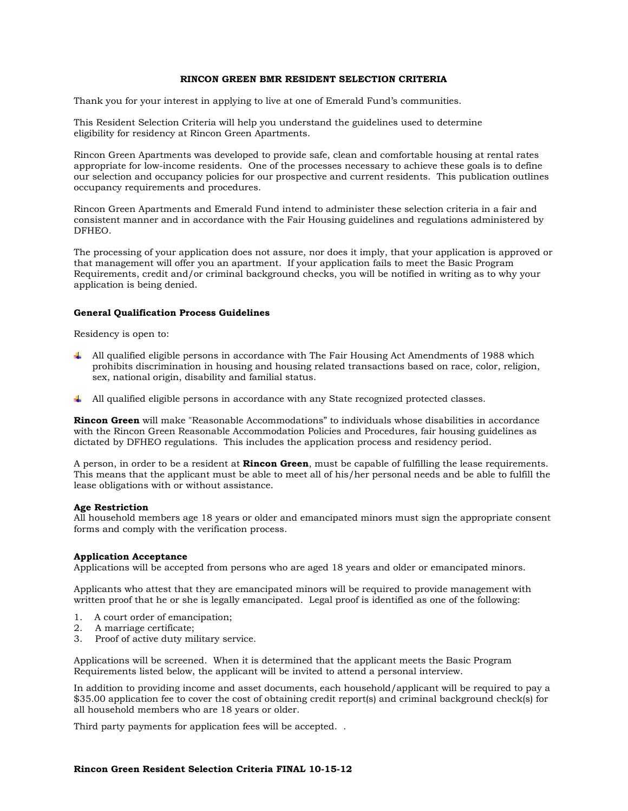# **RINCON GREEN BMR RESIDENT SELECTION CRITERIA**

Thank you for your interest in applying to live at one of Emerald Fund's communities.

This Resident Selection Criteria will help you understand the guidelines used to determine eligibility for residency at Rincon Green Apartments.

Rincon Green Apartments was developed to provide safe, clean and comfortable housing at rental rates appropriate for low-income residents. One of the processes necessary to achieve these goals is to define our selection and occupancy policies for our prospective and current residents. This publication outlines occupancy requirements and procedures.

Rincon Green Apartments and Emerald Fund intend to administer these selection criteria in a fair and consistent manner and in accordance with the Fair Housing guidelines and regulations administered by DFHEO.

The processing of your application does not assure, nor does it imply, that your application is approved or that management will offer you an apartment. If your application fails to meet the Basic Program Requirements, credit and/or criminal background checks, you will be notified in writing as to why your application is being denied.

### **General Qualification Process Guidelines**

Residency is open to:

- All qualified eligible persons in accordance with The Fair Housing Act Amendments of 1988 which prohibits discrimination in housing and housing related transactions based on race, color, religion, sex, national origin, disability and familial status.
- All qualified eligible persons in accordance with any State recognized protected classes.

**Rincon Green** will make "Reasonable Accommodations" to individuals whose disabilities in accordance with the Rincon Green Reasonable Accommodation Policies and Procedures, fair housing guidelines as dictated by DFHEO regulations. This includes the application process and residency period.

A person, in order to be a resident at **Rincon Green**, must be capable of fulfilling the lease requirements. This means that the applicant must be able to meet all of his/her personal needs and be able to fulfill the lease obligations with or without assistance.

### **Age Restriction**

All household members age 18 years or older and emancipated minors must sign the appropriate consent forms and comply with the verification process.

## **Application Acceptance**

Applications will be accepted from persons who are aged 18 years and older or emancipated minors.

Applicants who attest that they are emancipated minors will be required to provide management with written proof that he or she is legally emancipated. Legal proof is identified as one of the following:

- 1. A court order of emancipation;
- 2. A marriage certificate;
- 3. Proof of active duty military service.

Applications will be screened. When it is determined that the applicant meets the Basic Program Requirements listed below, the applicant will be invited to attend a personal interview.

In addition to providing income and asset documents, each household/applicant will be required to pay a \$35.00 application fee to cover the cost of obtaining credit report(s) and criminal background check(s) for all household members who are 18 years or older.

Third party payments for application fees will be accepted. .

# **Rincon Green Resident Selection Criteria FINAL 10-15-12**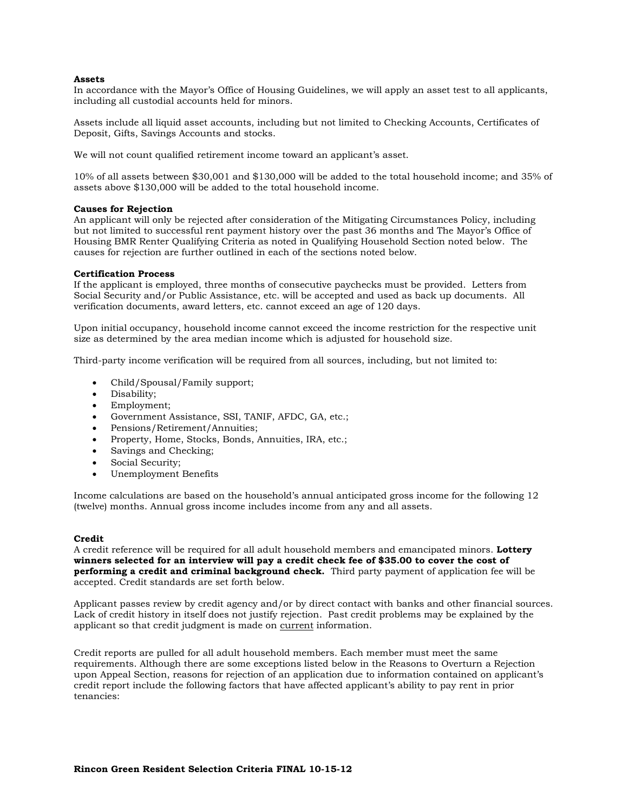### **Assets**

In accordance with the Mayor's Office of Housing Guidelines, we will apply an asset test to all applicants, including all custodial accounts held for minors.

Assets include all liquid asset accounts, including but not limited to Checking Accounts, Certificates of Deposit, Gifts, Savings Accounts and stocks.

We will not count qualified retirement income toward an applicant's asset.

10% of all assets between \$30,001 and \$130,000 will be added to the total household income; and 35% of assets above \$130,000 will be added to the total household income.

#### **Causes for Rejection**

An applicant will only be rejected after consideration of the Mitigating Circumstances Policy, including but not limited to successful rent payment history over the past 36 months and The Mayor's Office of Housing BMR Renter Qualifying Criteria as noted in Qualifying Household Section noted below. The causes for rejection are further outlined in each of the sections noted below.

# **Certification Process**

If the applicant is employed, three months of consecutive paychecks must be provided. Letters from Social Security and/or Public Assistance, etc. will be accepted and used as back up documents. All verification documents, award letters, etc. cannot exceed an age of 120 days.

Upon initial occupancy, household income cannot exceed the income restriction for the respective unit size as determined by the area median income which is adjusted for household size.

Third-party income verification will be required from all sources, including, but not limited to:

- Child/Spousal/Family support;
- Disability;
- Employment;
- Government Assistance, SSI, TANIF, AFDC, GA, etc.;
- Pensions/Retirement/Annuities;
- Property, Home, Stocks, Bonds, Annuities, IRA, etc.;
- Savings and Checking;
- Social Security;
- Unemployment Benefits

Income calculations are based on the household's annual anticipated gross income for the following 12 (twelve) months. Annual gross income includes income from any and all assets.

#### **Credit**

A credit reference will be required for all adult household members and emancipated minors. **Lottery winners selected for an interview will pay a credit check fee of \$35.00 to cover the cost of performing a credit and criminal background check.** Third party payment of application fee will be accepted. Credit standards are set forth below.

Applicant passes review by credit agency and/or by direct contact with banks and other financial sources. Lack of credit history in itself does not justify rejection. Past credit problems may be explained by the applicant so that credit judgment is made on current information.

Credit reports are pulled for all adult household members. Each member must meet the same requirements. Although there are some exceptions listed below in the Reasons to Overturn a Rejection upon Appeal Section, reasons for rejection of an application due to information contained on applicant's credit report include the following factors that have affected applicant's ability to pay rent in prior tenancies: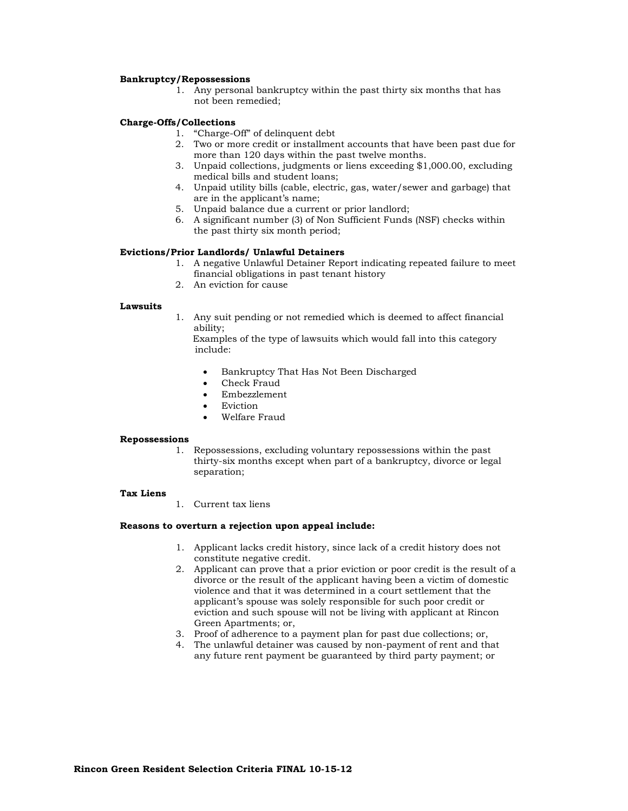## **Bankruptcy/Repossessions**

1. Any personal bankruptcy within the past thirty six months that has not been remedied;

## **Charge-Offs/Collections**

- 1. "Charge-Off" of delinquent debt
- 2. Two or more credit or installment accounts that have been past due for more than 120 days within the past twelve months.
- 3. Unpaid collections, judgments or liens exceeding \$1,000.00, excluding medical bills and student loans;
- 4. Unpaid utility bills (cable, electric, gas, water/sewer and garbage) that are in the applicant's name;
- 5. Unpaid balance due a current or prior landlord;
- 6. A significant number (3) of Non Sufficient Funds (NSF) checks within the past thirty six month period;

# **Evictions/Prior Landlords/ Unlawful Detainers**

- 1. A negative Unlawful Detainer Report indicating repeated failure to meet financial obligations in past tenant history
- 2. An eviction for cause

#### **Lawsuits**

1. Any suit pending or not remedied which is deemed to affect financial ability;

Examples of the type of lawsuits which would fall into this category include:

- Bankruptcy That Has Not Been Discharged
- Check Fraud
- Embezzlement
- Eviction
- Welfare Fraud

## **Repossessions**

1. Repossessions, excluding voluntary repossessions within the past thirty-six months except when part of a bankruptcy, divorce or legal separation;

#### **Tax Liens**

1. Current tax liens

## **Reasons to overturn a rejection upon appeal include:**

- 1. Applicant lacks credit history, since lack of a credit history does not constitute negative credit.
- 2. Applicant can prove that a prior eviction or poor credit is the result of a divorce or the result of the applicant having been a victim of domestic violence and that it was determined in a court settlement that the applicant's spouse was solely responsible for such poor credit or eviction and such spouse will not be living with applicant at Rincon Green Apartments; or,
- 3. Proof of adherence to a payment plan for past due collections; or,
- 4. The unlawful detainer was caused by non-payment of rent and that any future rent payment be guaranteed by third party payment; or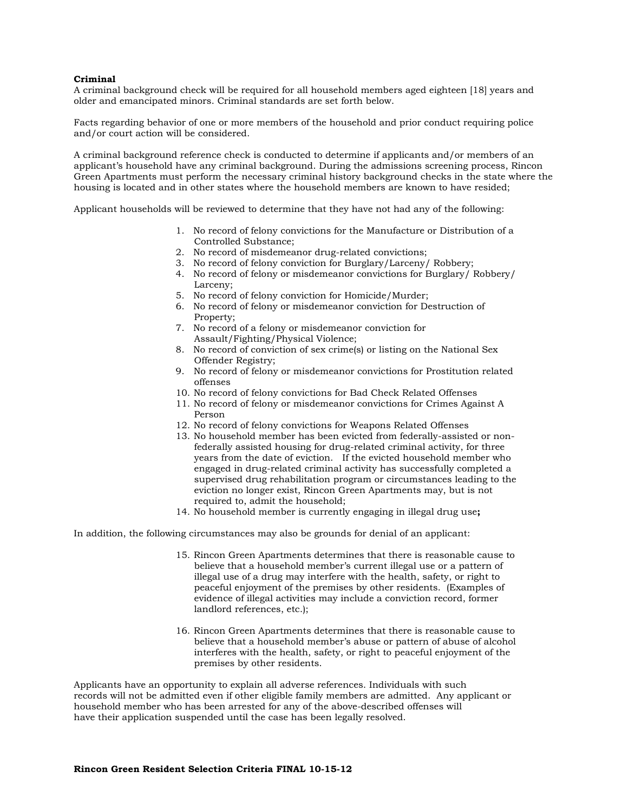## **Criminal**

A criminal background check will be required for all household members aged eighteen [18] years and older and emancipated minors. Criminal standards are set forth below.

Facts regarding behavior of one or more members of the household and prior conduct requiring police and/or court action will be considered.

A criminal background reference check is conducted to determine if applicants and/or members of an applicant's household have any criminal background. During the admissions screening process, Rincon Green Apartments must perform the necessary criminal history background checks in the state where the housing is located and in other states where the household members are known to have resided;

Applicant households will be reviewed to determine that they have not had any of the following:

- 1. No record of felony convictions for the Manufacture or Distribution of a Controlled Substance;
- 2. No record of misdemeanor drug-related convictions;
- 3. No record of felony conviction for Burglary/Larceny/ Robbery;
- 4. No record of felony or misdemeanor convictions for Burglary/ Robbery/ Larceny;
- 5. No record of felony conviction for Homicide/Murder;
- 6. No record of felony or misdemeanor conviction for Destruction of Property;
- 7. No record of a felony or misdemeanor conviction for Assault/Fighting/Physical Violence;
- 8. No record of conviction of sex crime(s) or listing on the National Sex Offender Registry;
- 9. No record of felony or misdemeanor convictions for Prostitution related offenses
- 10. No record of felony convictions for Bad Check Related Offenses
- 11. No record of felony or misdemeanor convictions for Crimes Against A Person
- 12. No record of felony convictions for Weapons Related Offenses
- 13. No household member has been evicted from federally-assisted or nonfederally assisted housing for drug-related criminal activity, for three years from the date of eviction. If the evicted household member who engaged in drug-related criminal activity has successfully completed a supervised drug rehabilitation program or circumstances leading to the eviction no longer exist, Rincon Green Apartments may, but is not required to, admit the household;
- 14. No household member is currently engaging in illegal drug use**;**

In addition, the following circumstances may also be grounds for denial of an applicant:

- 15. Rincon Green Apartments determines that there is reasonable cause to believe that a household member's current illegal use or a pattern of illegal use of a drug may interfere with the health, safety, or right to peaceful enjoyment of the premises by other residents. (Examples of evidence of illegal activities may include a conviction record, former landlord references, etc.);
- 16. Rincon Green Apartments determines that there is reasonable cause to believe that a household member's abuse or pattern of abuse of alcohol interferes with the health, safety, or right to peaceful enjoyment of the premises by other residents.

Applicants have an opportunity to explain all adverse references. Individuals with such records will not be admitted even if other eligible family members are admitted. Any applicant or household member who has been arrested for any of the above-described offenses will have their application suspended until the case has been legally resolved.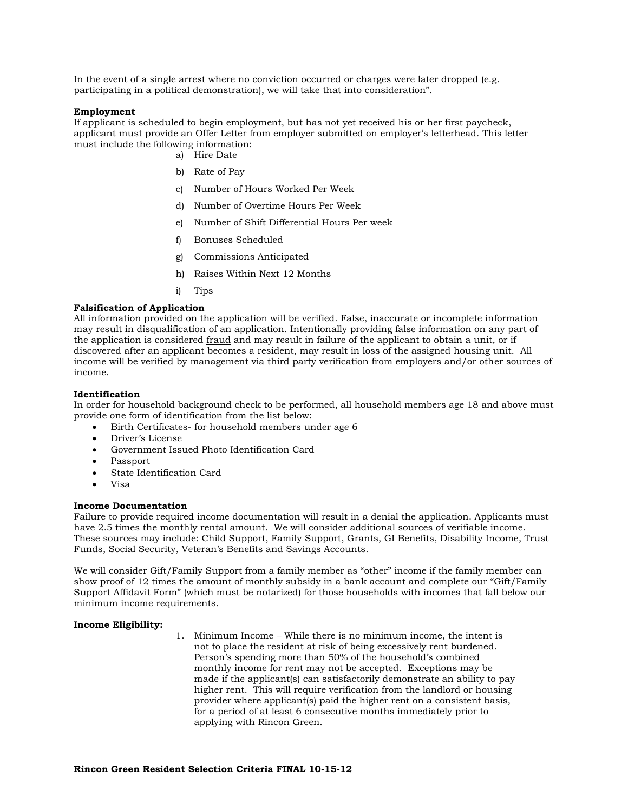In the event of a single arrest where no conviction occurred or charges were later dropped (e.g. participating in a political demonstration), we will take that into consideration".

## **Employment**

If applicant is scheduled to begin employment, but has not yet received his or her first paycheck, applicant must provide an Offer Letter from employer submitted on employer's letterhead. This letter must include the following information:

- a) Hire Date
- b) Rate of Pay
- c) Number of Hours Worked Per Week
- d) Number of Overtime Hours Per Week
- e) Number of Shift Differential Hours Per week
- f) Bonuses Scheduled
- g) Commissions Anticipated
- h) Raises Within Next 12 Months
- i) Tips

## **Falsification of Application**

All information provided on the application will be verified. False, inaccurate or incomplete information may result in disqualification of an application. Intentionally providing false information on any part of the application is considered fraud and may result in failure of the applicant to obtain a unit, or if discovered after an applicant becomes a resident, may result in loss of the assigned housing unit. All income will be verified by management via third party verification from employers and/or other sources of income.

## **Identification**

In order for household background check to be performed, all household members age 18 and above must provide one form of identification from the list below:

- Birth Certificates- for household members under age 6
- Driver's License
- Government Issued Photo Identification Card
- Passport
- State Identification Card
- Visa

## **Income Documentation**

Failure to provide required income documentation will result in a denial the application. Applicants must have 2.5 times the monthly rental amount. We will consider additional sources of verifiable income. These sources may include: Child Support, Family Support, Grants, GI Benefits, Disability Income, Trust Funds, Social Security, Veteran's Benefits and Savings Accounts.

We will consider Gift/Family Support from a family member as "other" income if the family member can show proof of 12 times the amount of monthly subsidy in a bank account and complete our "Gift/Family Support Affidavit Form" (which must be notarized) for those households with incomes that fall below our minimum income requirements.

## **Income Eligibility:**

1. Minimum Income – While there is no minimum income, the intent is not to place the resident at risk of being excessively rent burdened. Person's spending more than 50% of the household's combined monthly income for rent may not be accepted. Exceptions may be made if the applicant(s) can satisfactorily demonstrate an ability to pay higher rent. This will require verification from the landlord or housing provider where applicant(s) paid the higher rent on a consistent basis, for a period of at least 6 consecutive months immediately prior to applying with Rincon Green.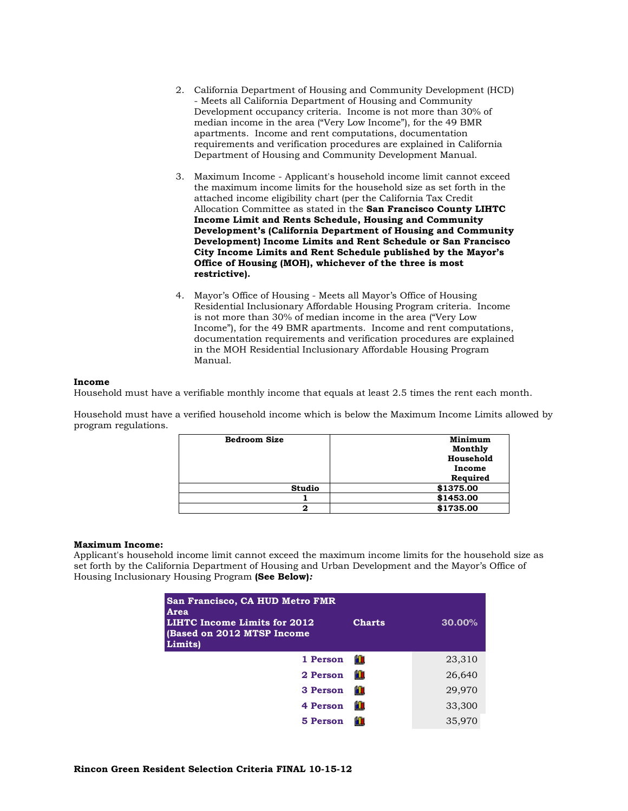- 2. California Department of Housing and Community Development (HCD) - Meets all California Department of Housing and Community Development occupancy criteria. Income is not more than 30% of median income in the area ("Very Low Income"), for the 49 BMR apartments. Income and rent computations, documentation requirements and verification procedures are explained in California Department of Housing and Community Development Manual.
- 3. Maximum Income Applicant's household income limit cannot exceed the maximum income limits for the household size as set forth in the attached income eligibility chart (per the California Tax Credit Allocation Committee as stated in the **San Francisco County LIHTC Income Limit and Rents Schedule, Housing and Community Development's (California Department of Housing and Community Development) Income Limits and Rent Schedule or San Francisco City Income Limits and Rent Schedule published by the Mayor's Office of Housing (MOH), whichever of the three is most restrictive).**
- 4. Mayor's Office of Housing Meets all Mayor's Office of Housing Residential Inclusionary Affordable Housing Program criteria. Income is not more than 30% of median income in the area ("Very Low Income"), for the 49 BMR apartments. Income and rent computations, documentation requirements and verification procedures are explained in the MOH Residential Inclusionary Affordable Housing Program Manual.

## **Income**

Household must have a verifiable monthly income that equals at least 2.5 times the rent each month.

Household must have a verified household income which is below the Maximum Income Limits allowed by program regulations.

| <b>Bedroom Size</b> | Minimum   |
|---------------------|-----------|
|                     | Monthly   |
|                     | Household |
|                     | Income    |
|                     | Required  |
| <b>Studio</b>       | \$1375.00 |
|                     | \$1453.00 |
| 2                   | \$1735.00 |

### **Maximum Income:**

Applicant's household income limit cannot exceed the maximum income limits for the household size as set forth by the California Department of Housing and Urban Development and the Mayor's Office of Housing Inclusionary Housing Program **(See Below)***:*

| San Francisco, CA HUD Metro FMR<br>Area<br>LIHTC Income Limits for 2012<br><b>(Based on 2012 MTSP Income</b><br>Limits) | <b>Charts</b> | 30.00% |
|-------------------------------------------------------------------------------------------------------------------------|---------------|--------|
| 1 Person                                                                                                                | ١Ū            | 23,310 |
| 2 Person                                                                                                                | Ю             | 26,640 |
| 3 Person                                                                                                                | Ю             | 29,970 |
| 4 Person                                                                                                                | Ю             | 33,300 |
| 5 Person                                                                                                                | Ю             | 35,970 |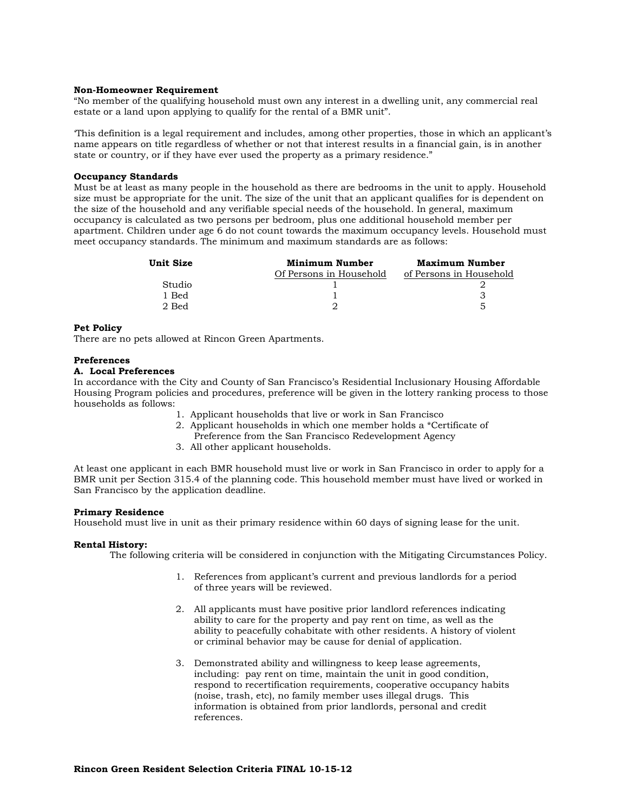## **Non-Homeowner Requirement**

"No member of the qualifying household must own any interest in a dwelling unit, any commercial real estate or a land upon applying to qualify for the rental of a BMR unit".

'This definition is a legal requirement and includes, among other properties, those in which an applicant's name appears on title regardless of whether or not that interest results in a financial gain, is in another state or country, or if they have ever used the property as a primary residence."

### **Occupancy Standards**

Must be at least as many people in the household as there are bedrooms in the unit to apply. Household size must be appropriate for the unit. The size of the unit that an applicant qualifies for is dependent on the size of the household and any verifiable special needs of the household. In general, maximum occupancy is calculated as two persons per bedroom, plus one additional household member per apartment. Children under age 6 do not count towards the maximum occupancy levels. Household must meet occupancy standards*.* The minimum and maximum standards are as follows:

| Unit Size | Minimum Number          | Maximum Number          |
|-----------|-------------------------|-------------------------|
|           | Of Persons in Household | of Persons in Household |
| Studio    |                         |                         |
| 1 Bed     |                         |                         |
| 2 Bed     |                         |                         |

## **Pet Policy**

There are no pets allowed at Rincon Green Apartments.

#### **Preferences**

# **A. Local Preferences**

In accordance with the City and County of San Francisco's Residential Inclusionary Housing Affordable Housing Program policies and procedures, preference will be given in the lottery ranking process to those households as follows:

- 1. Applicant households that live or work in San Francisco
- 2. Applicant households in which one member holds a \*Certificate of
- Preference from the San Francisco Redevelopment Agency
- 3. All other applicant households.

At least one applicant in each BMR household must live or work in San Francisco in order to apply for a BMR unit per Section 315.4 of the planning code. This household member must have lived or worked in San Francisco by the application deadline.

## **Primary Residence**

Household must live in unit as their primary residence within 60 days of signing lease for the unit.

## **Rental History:**

The following criteria will be considered in conjunction with the Mitigating Circumstances Policy.

- 1. References from applicant's current and previous landlords for a period of three years will be reviewed.
- 2. All applicants must have positive prior landlord references indicating ability to care for the property and pay rent on time, as well as the ability to peacefully cohabitate with other residents. A history of violent or criminal behavior may be cause for denial of application.
- 3. Demonstrated ability and willingness to keep lease agreements, including: pay rent on time, maintain the unit in good condition, respond to recertification requirements, cooperative occupancy habits (noise, trash, etc), no family member uses illegal drugs. This information is obtained from prior landlords, personal and credit references.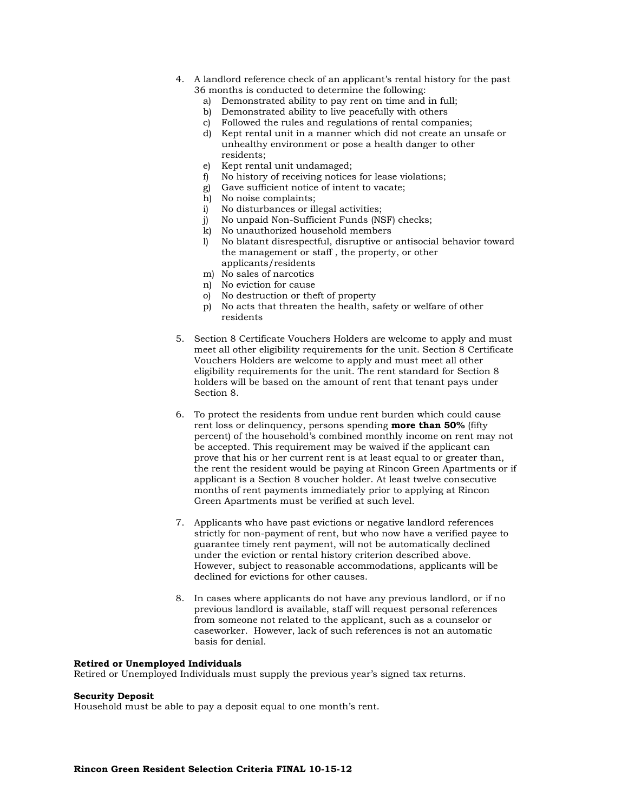- 4. A landlord reference check of an applicant's rental history for the past 36 months is conducted to determine the following:
	- a) Demonstrated ability to pay rent on time and in full;
	- b) Demonstrated ability to live peacefully with others
	- c) Followed the rules and regulations of rental companies;
	- d) Kept rental unit in a manner which did not create an unsafe or unhealthy environment or pose a health danger to other residents;
	- e) Kept rental unit undamaged;
	- f) No history of receiving notices for lease violations;
	- g) Gave sufficient notice of intent to vacate;
	- h) No noise complaints;
	- i) No disturbances or illegal activities;
	- j) No unpaid Non-Sufficient Funds (NSF) checks;
	- k) No unauthorized household members
	- l) No blatant disrespectful, disruptive or antisocial behavior toward the management or staff , the property, or other applicants/residents
	- m) No sales of narcotics
	- n) No eviction for cause
	- o) No destruction or theft of property
	- p) No acts that threaten the health, safety or welfare of other residents
- 5. Section 8 Certificate Vouchers Holders are welcome to apply and must meet all other eligibility requirements for the unit. Section 8 Certificate Vouchers Holders are welcome to apply and must meet all other eligibility requirements for the unit. The rent standard for Section 8 holders will be based on the amount of rent that tenant pays under Section 8.
- 6. To protect the residents from undue rent burden which could cause rent loss or delinquency, persons spending **more than 50%** (fifty percent) of the household's combined monthly income on rent may not be accepted. This requirement may be waived if the applicant can prove that his or her current rent is at least equal to or greater than, the rent the resident would be paying at Rincon Green Apartments or if applicant is a Section 8 voucher holder. At least twelve consecutive months of rent payments immediately prior to applying at Rincon Green Apartments must be verified at such level.
- 7. Applicants who have past evictions or negative landlord references strictly for non-payment of rent, but who now have a verified payee to guarantee timely rent payment, will not be automatically declined under the eviction or rental history criterion described above. However, subject to reasonable accommodations, applicants will be declined for evictions for other causes.
- 8. In cases where applicants do not have any previous landlord, or if no previous landlord is available, staff will request personal references from someone not related to the applicant, such as a counselor or caseworker. However, lack of such references is not an automatic basis for denial.

# **Retired or Unemployed Individuals**

Retired or Unemployed Individuals must supply the previous year's signed tax returns.

## **Security Deposit**

Household must be able to pay a deposit equal to one month's rent.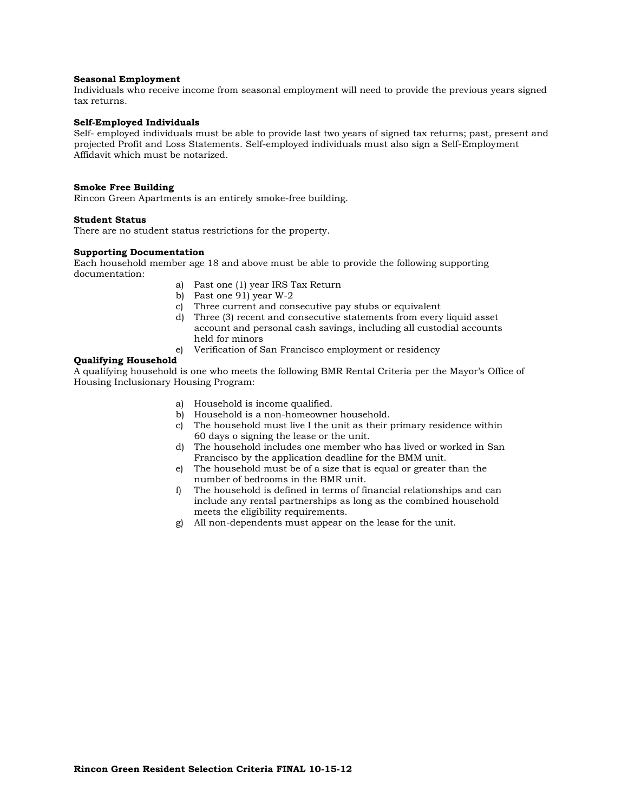## **Seasonal Employment**

Individuals who receive income from seasonal employment will need to provide the previous years signed tax returns.

#### **Self-Employed Individuals**

Self- employed individuals must be able to provide last two years of signed tax returns; past, present and projected Profit and Loss Statements. Self-employed individuals must also sign a Self-Employment Affidavit which must be notarized.

## **Smoke Free Building**

Rincon Green Apartments is an entirely smoke-free building.

# **Student Status**

There are no student status restrictions for the property.

## **Supporting Documentation**

Each household member age 18 and above must be able to provide the following supporting documentation:

- a) Past one (1) year IRS Tax Return
- b) Past one 91) year W-2
- c) Three current and consecutive pay stubs or equivalent
- d) Three (3) recent and consecutive statements from every liquid asset account and personal cash savings, including all custodial accounts held for minors
- e) Verification of San Francisco employment or residency

## **Qualifying Household**

A qualifying household is one who meets the following BMR Rental Criteria per the Mayor's Office of Housing Inclusionary Housing Program:

- a) Household is income qualified.
- b) Household is a non-homeowner household.
- c) The household must live I the unit as their primary residence within 60 days o signing the lease or the unit.
- d) The household includes one member who has lived or worked in San Francisco by the application deadline for the BMM unit.
- e) The household must be of a size that is equal or greater than the number of bedrooms in the BMR unit.
- f) The household is defined in terms of financial relationships and can include any rental partnerships as long as the combined household meets the eligibility requirements.
- g) All non-dependents must appear on the lease for the unit.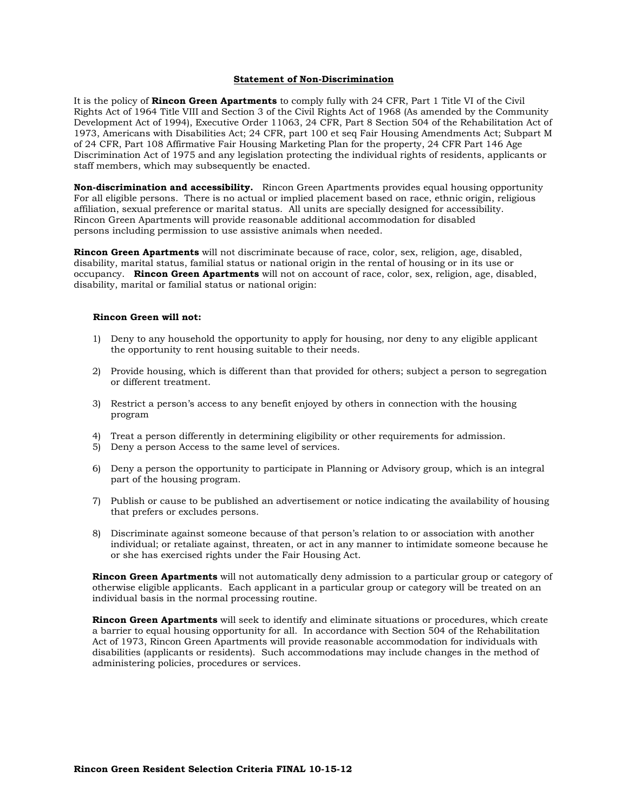## **Statement of Non-Discrimination**

It is the policy of **Rincon Green Apartments** to comply fully with 24 CFR, Part 1 Title VI of the Civil Rights Act of 1964 Title VIII and Section 3 of the Civil Rights Act of 1968 (As amended by the Community Development Act of 1994), Executive Order 11063, 24 CFR, Part 8 Section 504 of the Rehabilitation Act of 1973, Americans with Disabilities Act; 24 CFR, part 100 et seq Fair Housing Amendments Act; Subpart M of 24 CFR, Part 108 Affirmative Fair Housing Marketing Plan for the property, 24 CFR Part 146 Age Discrimination Act of 1975 and any legislation protecting the individual rights of residents, applicants or staff members, which may subsequently be enacted.

**Non-discrimination and accessibility.** Rincon Green Apartments provides equal housing opportunity For all eligible persons. There is no actual or implied placement based on race, ethnic origin, religious affiliation, sexual preference or marital status. All units are specially designed for accessibility. Rincon Green Apartments will provide reasonable additional accommodation for disabled persons including permission to use assistive animals when needed.

**Rincon Green Apartments** will not discriminate because of race, color, sex, religion, age, disabled, disability, marital status, familial status or national origin in the rental of housing or in its use or occupancy. **Rincon Green Apartments** will not on account of race, color, sex, religion, age, disabled, disability, marital or familial status or national origin:

### **Rincon Green will not:**

- 1) Deny to any household the opportunity to apply for housing, nor deny to any eligible applicant the opportunity to rent housing suitable to their needs.
- 2) Provide housing, which is different than that provided for others; subject a person to segregation or different treatment.
- 3) Restrict a person's access to any benefit enjoyed by others in connection with the housing program
- 4) Treat a person differently in determining eligibility or other requirements for admission.
- 5) Deny a person Access to the same level of services.
- 6) Deny a person the opportunity to participate in Planning or Advisory group, which is an integral part of the housing program.
- 7) Publish or cause to be published an advertisement or notice indicating the availability of housing that prefers or excludes persons.
- 8) Discriminate against someone because of that person's relation to or association with another individual; or retaliate against, threaten, or act in any manner to intimidate someone because he or she has exercised rights under the Fair Housing Act.

**Rincon Green Apartments** will not automatically deny admission to a particular group or category of otherwise eligible applicants. Each applicant in a particular group or category will be treated on an individual basis in the normal processing routine.

**Rincon Green Apartments** will seek to identify and eliminate situations or procedures, which create a barrier to equal housing opportunity for all. In accordance with Section 504 of the Rehabilitation Act of 1973, Rincon Green Apartments will provide reasonable accommodation for individuals with disabilities (applicants or residents). Such accommodations may include changes in the method of administering policies, procedures or services.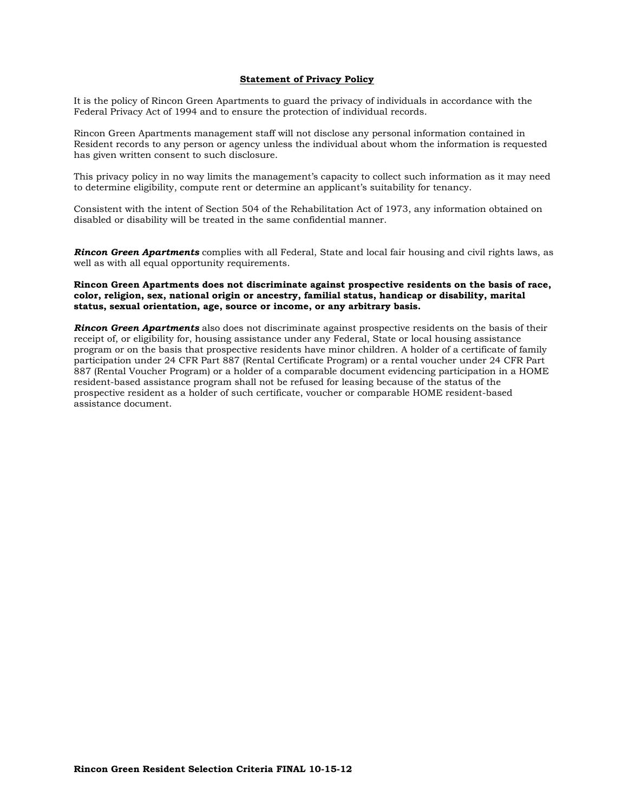## **Statement of Privacy Policy**

It is the policy of Rincon Green Apartments to guard the privacy of individuals in accordance with the Federal Privacy Act of 1994 and to ensure the protection of individual records.

Rincon Green Apartments management staff will not disclose any personal information contained in Resident records to any person or agency unless the individual about whom the information is requested has given written consent to such disclosure.

This privacy policy in no way limits the management's capacity to collect such information as it may need to determine eligibility, compute rent or determine an applicant's suitability for tenancy.

Consistent with the intent of Section 504 of the Rehabilitation Act of 1973, any information obtained on disabled or disability will be treated in the same confidential manner.

*Rincon Green Apartments* complies with all Federal, State and local fair housing and civil rights laws, as well as with all equal opportunity requirements.

## **Rincon Green Apartments does not discriminate against prospective residents on the basis of race, color, religion, sex, national origin or ancestry, familial status, handicap or disability, marital status, sexual orientation, age, source or income, or any arbitrary basis.**

*Rincon Green Apartments* also does not discriminate against prospective residents on the basis of their receipt of, or eligibility for, housing assistance under any Federal, State or local housing assistance program or on the basis that prospective residents have minor children. A holder of a certificate of family participation under 24 CFR Part 887 (Rental Certificate Program) or a rental voucher under 24 CFR Part 887 (Rental Voucher Program) or a holder of a comparable document evidencing participation in a HOME resident-based assistance program shall not be refused for leasing because of the status of the prospective resident as a holder of such certificate, voucher or comparable HOME resident-based assistance document.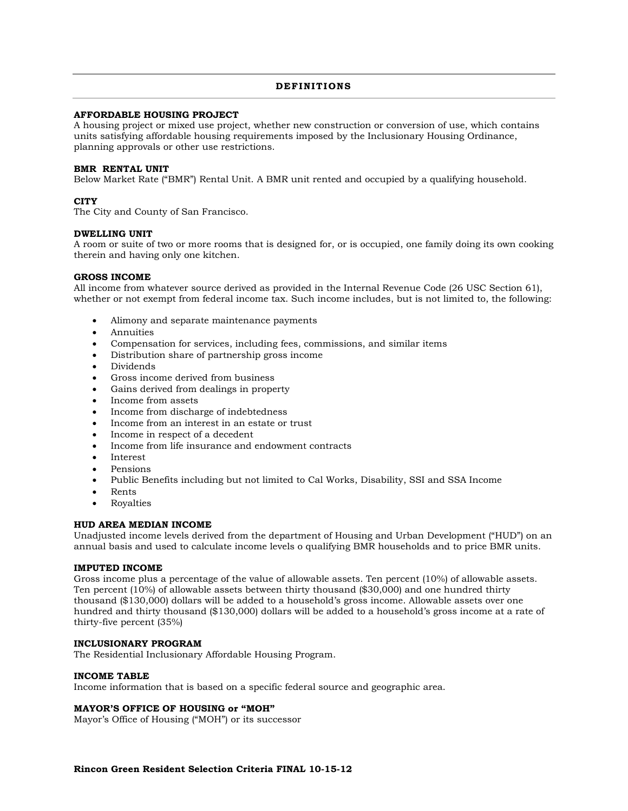## **DEF INIT IONS**

## **AFFORDABLE HOUSING PROJECT**

A housing project or mixed use project, whether new construction or conversion of use, which contains units satisfying affordable housing requirements imposed by the Inclusionary Housing Ordinance, planning approvals or other use restrictions.

## **BMR RENTAL UNIT**

Below Market Rate ("BMR") Rental Unit. A BMR unit rented and occupied by a qualifying household.

## **CITY**

The City and County of San Francisco.

## **DWELLING UNIT**

A room or suite of two or more rooms that is designed for, or is occupied, one family doing its own cooking therein and having only one kitchen.

## **GROSS INCOME**

All income from whatever source derived as provided in the Internal Revenue Code (26 USC Section 61), whether or not exempt from federal income tax. Such income includes, but is not limited to, the following:

- Alimony and separate maintenance payments
- Annuities
- Compensation for services, including fees, commissions, and similar items
- Distribution share of partnership gross income
- Dividends
- Gross income derived from business
- Gains derived from dealings in property
- Income from assets
- Income from discharge of indebtedness
- Income from an interest in an estate or trust
- Income in respect of a decedent
- Income from life insurance and endowment contracts
- Interest
- Pensions
- Public Benefits including but not limited to Cal Works, Disability, SSI and SSA Income
- Rents
- Royalties

### **HUD AREA MEDIAN INCOME**

Unadjusted income levels derived from the department of Housing and Urban Development ("HUD") on an annual basis and used to calculate income levels o qualifying BMR households and to price BMR units.

## **IMPUTED INCOME**

Gross income plus a percentage of the value of allowable assets. Ten percent (10%) of allowable assets. Ten percent (10%) of allowable assets between thirty thousand (\$30,000) and one hundred thirty thousand (\$130,000) dollars will be added to a household's gross income. Allowable assets over one hundred and thirty thousand (\$130,000) dollars will be added to a household's gross income at a rate of thirty-five percent (35%)

### **INCLUSIONARY PROGRAM**

The Residential Inclusionary Affordable Housing Program.

# **INCOME TABLE**

Income information that is based on a specific federal source and geographic area.

# **MAYOR'S OFFICE OF HOUSING or "MOH"**

Mayor's Office of Housing ("MOH") or its successor